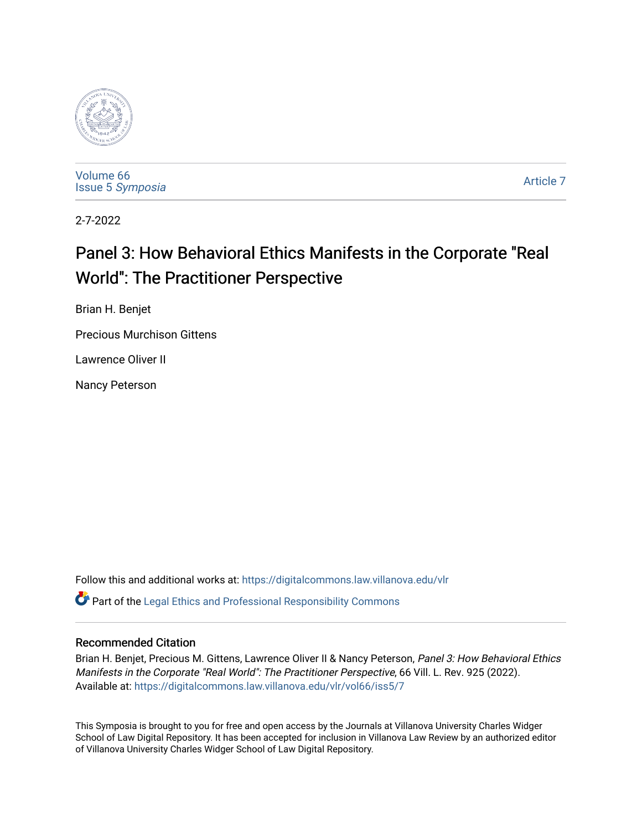

[Volume 66](https://digitalcommons.law.villanova.edu/vlr/vol66) Issue 5 [Symposia](https://digitalcommons.law.villanova.edu/vlr/vol66/iss5) 

[Article 7](https://digitalcommons.law.villanova.edu/vlr/vol66/iss5/7) 

2-7-2022

# Panel 3: How Behavioral Ethics Manifests in the Corporate "Real World": The Practitioner Perspective

Brian H. Benjet

Precious Murchison Gittens

Lawrence Oliver II

Nancy Peterson

Follow this and additional works at: [https://digitalcommons.law.villanova.edu/vlr](https://digitalcommons.law.villanova.edu/vlr?utm_source=digitalcommons.law.villanova.edu%2Fvlr%2Fvol66%2Fiss5%2F7&utm_medium=PDF&utm_campaign=PDFCoverPages)  $\bullet$  Part of the [Legal Ethics and Professional Responsibility Commons](https://network.bepress.com/hgg/discipline/895?utm_source=digitalcommons.law.villanova.edu%2Fvlr%2Fvol66%2Fiss5%2F7&utm_medium=PDF&utm_campaign=PDFCoverPages)

# Recommended Citation

Brian H. Benjet, Precious M. Gittens, Lawrence Oliver II & Nancy Peterson, Panel 3: How Behavioral Ethics Manifests in the Corporate "Real World": The Practitioner Perspective, 66 Vill. L. Rev. 925 (2022). Available at: [https://digitalcommons.law.villanova.edu/vlr/vol66/iss5/7](https://digitalcommons.law.villanova.edu/vlr/vol66/iss5/7?utm_source=digitalcommons.law.villanova.edu%2Fvlr%2Fvol66%2Fiss5%2F7&utm_medium=PDF&utm_campaign=PDFCoverPages) 

This Symposia is brought to you for free and open access by the Journals at Villanova University Charles Widger School of Law Digital Repository. It has been accepted for inclusion in Villanova Law Review by an authorized editor of Villanova University Charles Widger School of Law Digital Repository.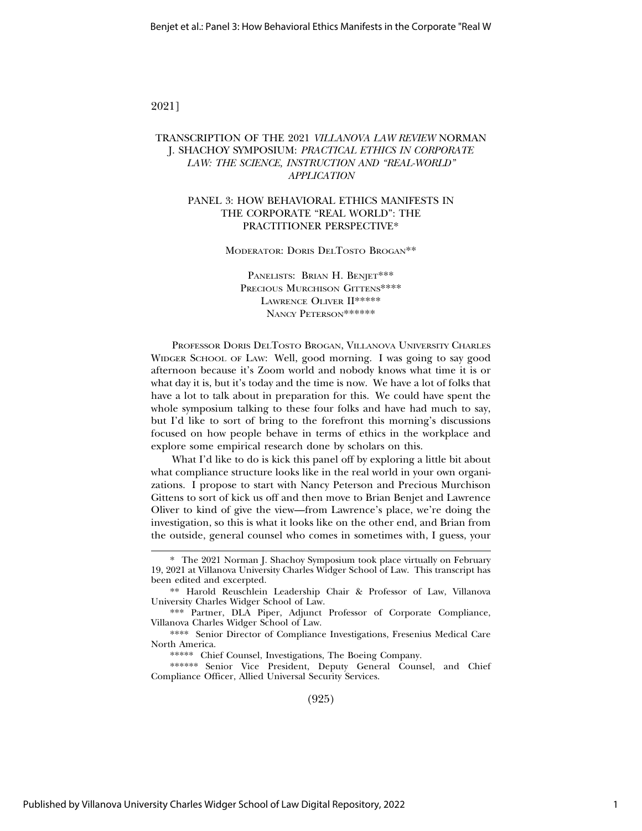# 2021]

# TRANSCRIPTION OF THE 2021 *VILLANOVA LAW REVIEW* NORMAN J. SHACHOY SYMPOSIUM: *PRACTICAL ETHICS IN CORPORATE LAW: THE SCIENCE, INSTRUCTION AND "REAL-WORLD" APPLICATION*

# PANEL 3: HOW BEHAVIORAL ETHICS MANIFESTS IN THE CORPORATE "REAL WORLD": THE PRACTITIONER PERSPECTIVE\*

MODERATOR: DORIS DELTOSTO BROGAN<sup>\*\*</sup>

PANELISTS: BRIAN H. BENJET\*\*\* PRECIOUS MURCHISON GITTENS\*\*\*\* LAWRENCE OLIVER II\*\*\*\*\* NANCY PETERSON\*\*\*\*\*\*\*

PROFESSOR DORIS DELTOSTO BROGAN, VILLANOVA UNIVERSITY CHARLES WIDGER SCHOOL OF LAW: Well, good morning. I was going to say good afternoon because it's Zoom world and nobody knows what time it is or what day it is, but it's today and the time is now. We have a lot of folks that have a lot to talk about in preparation for this. We could have spent the whole symposium talking to these four folks and have had much to say, but I'd like to sort of bring to the forefront this morning's discussions focused on how people behave in terms of ethics in the workplace and explore some empirical research done by scholars on this.

What I'd like to do is kick this panel off by exploring a little bit about what compliance structure looks like in the real world in your own organizations. I propose to start with Nancy Peterson and Precious Murchison Gittens to sort of kick us off and then move to Brian Benjet and Lawrence Oliver to kind of give the view—from Lawrence's place, we're doing the investigation, so this is what it looks like on the other end, and Brian from the outside, general counsel who comes in sometimes with, I guess, your

\*\*\*\*\* Chief Counsel, Investigations, The Boeing Company.

\*\*\*\*\*\* Senior Vice President, Deputy General Counsel, and Chief Compliance Officer, Allied Universal Security Services.

(925)

<sup>\*</sup> The 2021 Norman J. Shachoy Symposium took place virtually on February 19, 2021 at Villanova University Charles Widger School of Law. This transcript has been edited and excerpted.

<sup>\*\*</sup> Harold Reuschlein Leadership Chair & Professor of Law, Villanova University Charles Widger School of Law.

<sup>\*\*\*</sup> Partner, DLA Piper, Adjunct Professor of Corporate Compliance, Villanova Charles Widger School of Law.

<sup>\*\*\*\*</sup> Senior Director of Compliance Investigations, Fresenius Medical Care North America.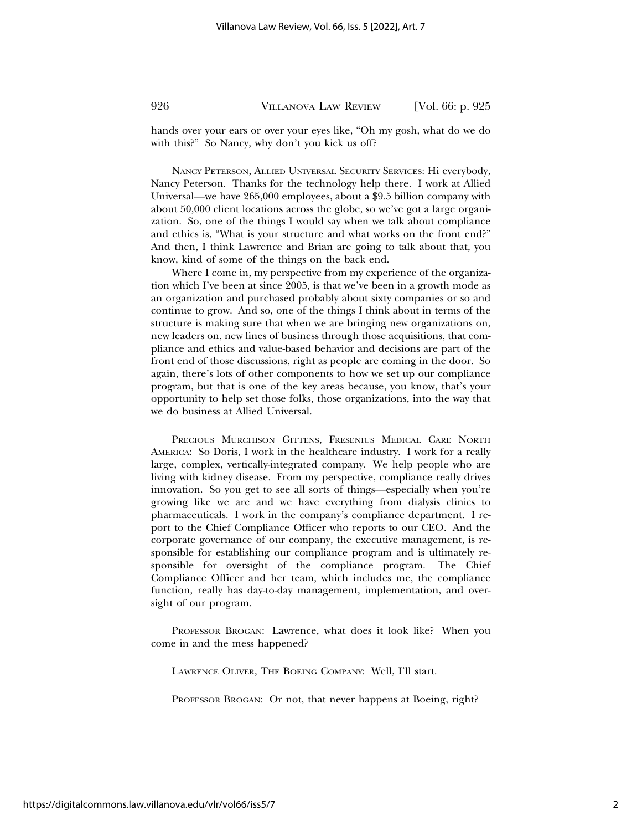hands over your ears or over your eyes like, "Oh my gosh, what do we do with this?" So Nancy, why don't you kick us off?

NANCY PETERSON, ALLIED UNIVERSAL SECURITY SERVICES: Hi everybody, Nancy Peterson. Thanks for the technology help there. I work at Allied Universal—we have 265,000 employees, about a \$9.5 billion company with about 50,000 client locations across the globe, so we've got a large organization. So, one of the things I would say when we talk about compliance and ethics is, "What is your structure and what works on the front end?" And then, I think Lawrence and Brian are going to talk about that, you know, kind of some of the things on the back end.

Where I come in, my perspective from my experience of the organization which I've been at since 2005, is that we've been in a growth mode as an organization and purchased probably about sixty companies or so and continue to grow. And so, one of the things I think about in terms of the structure is making sure that when we are bringing new organizations on, new leaders on, new lines of business through those acquisitions, that compliance and ethics and value-based behavior and decisions are part of the front end of those discussions, right as people are coming in the door. So again, there's lots of other components to how we set up our compliance program, but that is one of the key areas because, you know, that's your opportunity to help set those folks, those organizations, into the way that we do business at Allied Universal.

PRECIOUS MURCHISON GITTENS, FRESENIUS MEDICAL CARE NORTH AMERICA: So Doris, I work in the healthcare industry. I work for a really large, complex, vertically-integrated company. We help people who are living with kidney disease. From my perspective, compliance really drives innovation. So you get to see all sorts of things—especially when you're growing like we are and we have everything from dialysis clinics to pharmaceuticals. I work in the company's compliance department. I report to the Chief Compliance Officer who reports to our CEO. And the corporate governance of our company, the executive management, is responsible for establishing our compliance program and is ultimately responsible for oversight of the compliance program. The Chief Compliance Officer and her team, which includes me, the compliance function, really has day-to-day management, implementation, and oversight of our program.

PROFESSOR BROGAN: Lawrence, what does it look like? When you come in and the mess happened?

LAWRENCE OLIVER, THE BOEING COMPANY: Well, I'll start.

PROFESSOR BROGAN: Or not, that never happens at Boeing, right?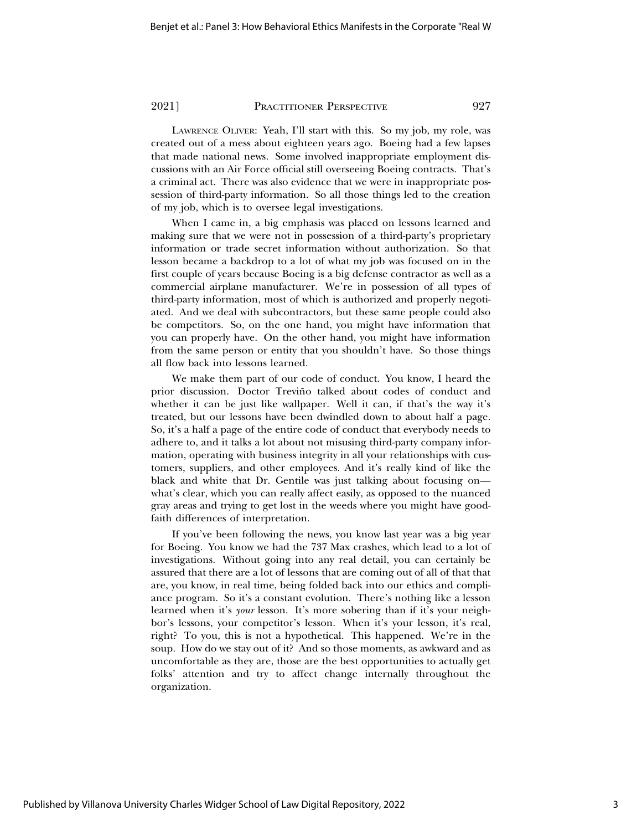LAWRENCE OLIVER: Yeah, I'll start with this. So my job, my role, was created out of a mess about eighteen years ago. Boeing had a few lapses that made national news. Some involved inappropriate employment discussions with an Air Force official still overseeing Boeing contracts. That's a criminal act. There was also evidence that we were in inappropriate possession of third-party information. So all those things led to the creation of my job, which is to oversee legal investigations.

When I came in, a big emphasis was placed on lessons learned and making sure that we were not in possession of a third-party's proprietary information or trade secret information without authorization. So that lesson became a backdrop to a lot of what my job was focused on in the first couple of years because Boeing is a big defense contractor as well as a commercial airplane manufacturer. We're in possession of all types of third-party information, most of which is authorized and properly negotiated. And we deal with subcontractors, but these same people could also be competitors. So, on the one hand, you might have information that you can properly have. On the other hand, you might have information from the same person or entity that you shouldn't have. So those things all flow back into lessons learned.

We make them part of our code of conduct. You know, I heard the prior discussion. Doctor Treviño talked about codes of conduct and whether it can be just like wallpaper. Well it can, if that's the way it's treated, but our lessons have been dwindled down to about half a page. So, it's a half a page of the entire code of conduct that everybody needs to adhere to, and it talks a lot about not misusing third-party company information, operating with business integrity in all your relationships with customers, suppliers, and other employees. And it's really kind of like the black and white that Dr. Gentile was just talking about focusing on what's clear, which you can really affect easily, as opposed to the nuanced gray areas and trying to get lost in the weeds where you might have goodfaith differences of interpretation.

If you've been following the news, you know last year was a big year for Boeing. You know we had the 737 Max crashes, which lead to a lot of investigations. Without going into any real detail, you can certainly be assured that there are a lot of lessons that are coming out of all of that that are, you know, in real time, being folded back into our ethics and compliance program. So it's a constant evolution. There's nothing like a lesson learned when it's *your* lesson. It's more sobering than if it's your neighbor's lessons, your competitor's lesson. When it's your lesson, it's real, right? To you, this is not a hypothetical. This happened. We're in the soup. How do we stay out of it? And so those moments, as awkward and as uncomfortable as they are, those are the best opportunities to actually get folks' attention and try to affect change internally throughout the organization.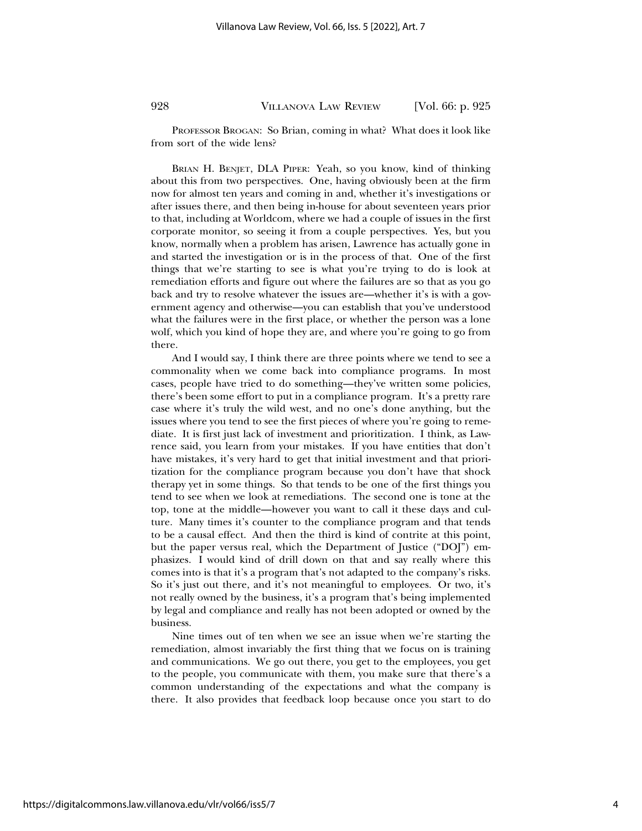PROFESSOR BROGAN: So Brian, coming in what? What does it look like from sort of the wide lens?

BRIAN H. BENJET, DLA PIPER: Yeah, so you know, kind of thinking about this from two perspectives. One, having obviously been at the firm now for almost ten years and coming in and, whether it's investigations or after issues there, and then being in-house for about seventeen years prior to that, including at Worldcom, where we had a couple of issues in the first corporate monitor, so seeing it from a couple perspectives. Yes, but you know, normally when a problem has arisen, Lawrence has actually gone in and started the investigation or is in the process of that. One of the first things that we're starting to see is what you're trying to do is look at remediation efforts and figure out where the failures are so that as you go back and try to resolve whatever the issues are—whether it's is with a government agency and otherwise—you can establish that you've understood what the failures were in the first place, or whether the person was a lone wolf, which you kind of hope they are, and where you're going to go from there.

And I would say, I think there are three points where we tend to see a commonality when we come back into compliance programs. In most cases, people have tried to do something—they've written some policies, there's been some effort to put in a compliance program. It's a pretty rare case where it's truly the wild west, and no one's done anything, but the issues where you tend to see the first pieces of where you're going to remediate. It is first just lack of investment and prioritization. I think, as Lawrence said, you learn from your mistakes. If you have entities that don't have mistakes, it's very hard to get that initial investment and that prioritization for the compliance program because you don't have that shock therapy yet in some things. So that tends to be one of the first things you tend to see when we look at remediations. The second one is tone at the top, tone at the middle—however you want to call it these days and culture. Many times it's counter to the compliance program and that tends to be a causal effect. And then the third is kind of contrite at this point, but the paper versus real, which the Department of Justice ("DOJ") emphasizes. I would kind of drill down on that and say really where this comes into is that it's a program that's not adapted to the company's risks. So it's just out there, and it's not meaningful to employees. Or two, it's not really owned by the business, it's a program that's being implemented by legal and compliance and really has not been adopted or owned by the business.

Nine times out of ten when we see an issue when we're starting the remediation, almost invariably the first thing that we focus on is training and communications. We go out there, you get to the employees, you get to the people, you communicate with them, you make sure that there's a common understanding of the expectations and what the company is there. It also provides that feedback loop because once you start to do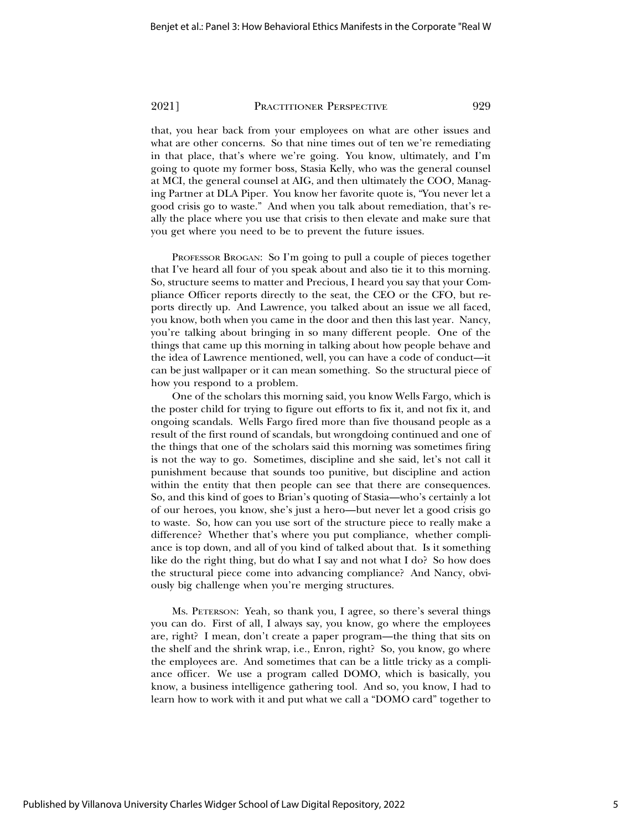that, you hear back from your employees on what are other issues and what are other concerns. So that nine times out of ten we're remediating in that place, that's where we're going. You know, ultimately, and I'm going to quote my former boss, Stasia Kelly, who was the general counsel at MCI, the general counsel at AIG, and then ultimately the COO, Managing Partner at DLA Piper. You know her favorite quote is, "You never let a good crisis go to waste." And when you talk about remediation, that's really the place where you use that crisis to then elevate and make sure that you get where you need to be to prevent the future issues.

PROFESSOR BROGAN: So I'm going to pull a couple of pieces together that I've heard all four of you speak about and also tie it to this morning. So, structure seems to matter and Precious, I heard you say that your Compliance Officer reports directly to the seat, the CEO or the CFO, but reports directly up. And Lawrence, you talked about an issue we all faced, you know, both when you came in the door and then this last year. Nancy, you're talking about bringing in so many different people. One of the things that came up this morning in talking about how people behave and the idea of Lawrence mentioned, well, you can have a code of conduct—it can be just wallpaper or it can mean something. So the structural piece of how you respond to a problem.

One of the scholars this morning said, you know Wells Fargo, which is the poster child for trying to figure out efforts to fix it, and not fix it, and ongoing scandals. Wells Fargo fired more than five thousand people as a result of the first round of scandals, but wrongdoing continued and one of the things that one of the scholars said this morning was sometimes firing is not the way to go. Sometimes, discipline and she said, let's not call it punishment because that sounds too punitive, but discipline and action within the entity that then people can see that there are consequences. So, and this kind of goes to Brian's quoting of Stasia—who's certainly a lot of our heroes, you know, she's just a hero—but never let a good crisis go to waste. So, how can you use sort of the structure piece to really make a difference? Whether that's where you put compliance, whether compliance is top down, and all of you kind of talked about that. Is it something like do the right thing, but do what I say and not what I do? So how does the structural piece come into advancing compliance? And Nancy, obviously big challenge when you're merging structures.

MS. PETERSON: Yeah, so thank you, I agree, so there's several things you can do. First of all, I always say, you know, go where the employees are, right? I mean, don't create a paper program—the thing that sits on the shelf and the shrink wrap, i.e., Enron, right? So, you know, go where the employees are. And sometimes that can be a little tricky as a compliance officer. We use a program called DOMO, which is basically, you know, a business intelligence gathering tool. And so, you know, I had to learn how to work with it and put what we call a "DOMO card" together to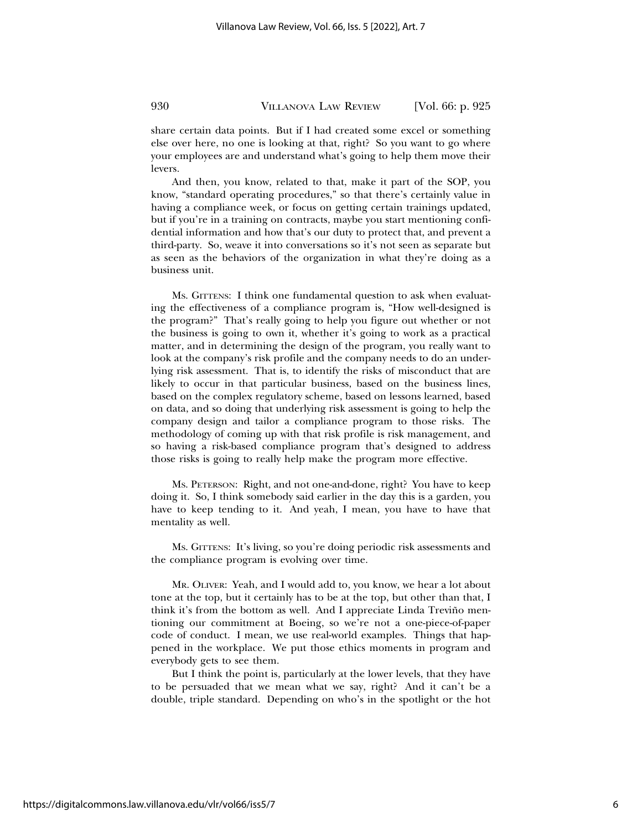share certain data points. But if I had created some excel or something else over here, no one is looking at that, right? So you want to go where your employees are and understand what's going to help them move their levers.

And then, you know, related to that, make it part of the SOP, you know, "standard operating procedures," so that there's certainly value in having a compliance week, or focus on getting certain trainings updated, but if you're in a training on contracts, maybe you start mentioning confidential information and how that's our duty to protect that, and prevent a third-party. So, weave it into conversations so it's not seen as separate but as seen as the behaviors of the organization in what they're doing as a business unit.

MS. GITTENS: I think one fundamental question to ask when evaluating the effectiveness of a compliance program is, "How well-designed is the program?" That's really going to help you figure out whether or not the business is going to own it, whether it's going to work as a practical matter, and in determining the design of the program, you really want to look at the company's risk profile and the company needs to do an underlying risk assessment. That is, to identify the risks of misconduct that are likely to occur in that particular business, based on the business lines, based on the complex regulatory scheme, based on lessons learned, based on data, and so doing that underlying risk assessment is going to help the company design and tailor a compliance program to those risks. The methodology of coming up with that risk profile is risk management, and so having a risk-based compliance program that's designed to address those risks is going to really help make the program more effective.

MS. PETERSON: Right, and not one-and-done, right? You have to keep doing it. So, I think somebody said earlier in the day this is a garden, you have to keep tending to it. And yeah, I mean, you have to have that mentality as well.

MS. GITTENS: It's living, so you're doing periodic risk assessments and the compliance program is evolving over time.

MR. OLIVER: Yeah, and I would add to, you know, we hear a lot about tone at the top, but it certainly has to be at the top, but other than that, I think it's from the bottom as well. And I appreciate Linda Treviño mentioning our commitment at Boeing, so we're not a one-piece-of-paper code of conduct. I mean, we use real-world examples. Things that happened in the workplace. We put those ethics moments in program and everybody gets to see them.

But I think the point is, particularly at the lower levels, that they have to be persuaded that we mean what we say, right? And it can't be a double, triple standard. Depending on who's in the spotlight or the hot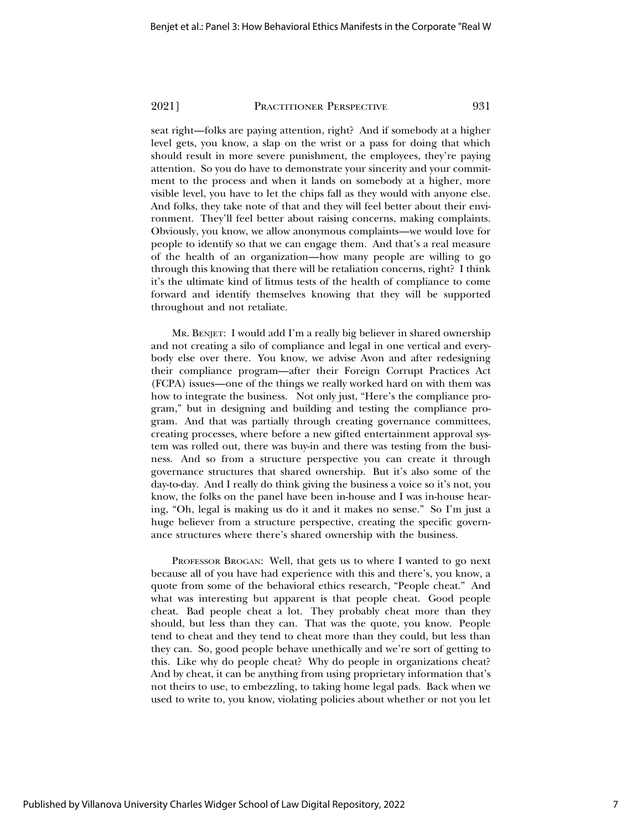seat right—folks are paying attention, right? And if somebody at a higher level gets, you know, a slap on the wrist or a pass for doing that which should result in more severe punishment, the employees, they're paying attention. So you do have to demonstrate your sincerity and your commitment to the process and when it lands on somebody at a higher, more visible level, you have to let the chips fall as they would with anyone else. And folks, they take note of that and they will feel better about their environment. They'll feel better about raising concerns, making complaints. Obviously, you know, we allow anonymous complaints—we would love for people to identify so that we can engage them. And that's a real measure of the health of an organization—how many people are willing to go through this knowing that there will be retaliation concerns, right? I think it's the ultimate kind of litmus tests of the health of compliance to come forward and identify themselves knowing that they will be supported throughout and not retaliate.

MR. BENJET: I would add I'm a really big believer in shared ownership and not creating a silo of compliance and legal in one vertical and everybody else over there. You know, we advise Avon and after redesigning their compliance program—after their Foreign Corrupt Practices Act (FCPA) issues—one of the things we really worked hard on with them was how to integrate the business. Not only just, "Here's the compliance program," but in designing and building and testing the compliance program. And that was partially through creating governance committees, creating processes, where before a new gifted entertainment approval system was rolled out, there was buy-in and there was testing from the business. And so from a structure perspective you can create it through governance structures that shared ownership. But it's also some of the day-to-day. And I really do think giving the business a voice so it's not, you know, the folks on the panel have been in-house and I was in-house hearing, "Oh, legal is making us do it and it makes no sense." So I'm just a huge believer from a structure perspective, creating the specific governance structures where there's shared ownership with the business.

PROFESSOR BROGAN: Well, that gets us to where I wanted to go next because all of you have had experience with this and there's, you know, a quote from some of the behavioral ethics research, "People cheat." And what was interesting but apparent is that people cheat. Good people cheat. Bad people cheat a lot. They probably cheat more than they should, but less than they can. That was the quote, you know. People tend to cheat and they tend to cheat more than they could, but less than they can. So, good people behave unethically and we're sort of getting to this. Like why do people cheat? Why do people in organizations cheat? And by cheat, it can be anything from using proprietary information that's not theirs to use, to embezzling, to taking home legal pads. Back when we used to write to, you know, violating policies about whether or not you let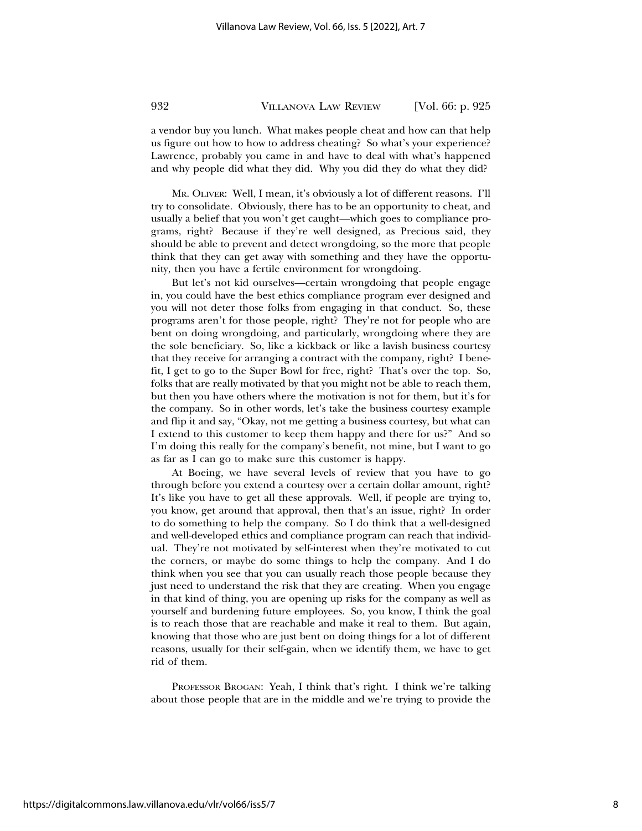a vendor buy you lunch. What makes people cheat and how can that help us figure out how to how to address cheating? So what's your experience? Lawrence, probably you came in and have to deal with what's happened and why people did what they did. Why you did they do what they did?

MR. OLIVER: Well, I mean, it's obviously a lot of different reasons. I'll try to consolidate. Obviously, there has to be an opportunity to cheat, and usually a belief that you won't get caught—which goes to compliance programs, right? Because if they're well designed, as Precious said, they should be able to prevent and detect wrongdoing, so the more that people think that they can get away with something and they have the opportunity, then you have a fertile environment for wrongdoing.

But let's not kid ourselves—certain wrongdoing that people engage in, you could have the best ethics compliance program ever designed and you will not deter those folks from engaging in that conduct. So, these programs aren't for those people, right? They're not for people who are bent on doing wrongdoing, and particularly, wrongdoing where they are the sole beneficiary. So, like a kickback or like a lavish business courtesy that they receive for arranging a contract with the company, right? I benefit, I get to go to the Super Bowl for free, right? That's over the top. So, folks that are really motivated by that you might not be able to reach them, but then you have others where the motivation is not for them, but it's for the company. So in other words, let's take the business courtesy example and flip it and say, "Okay, not me getting a business courtesy, but what can I extend to this customer to keep them happy and there for us?" And so I'm doing this really for the company's benefit, not mine, but I want to go as far as I can go to make sure this customer is happy.

At Boeing, we have several levels of review that you have to go through before you extend a courtesy over a certain dollar amount, right? It's like you have to get all these approvals. Well, if people are trying to, you know, get around that approval, then that's an issue, right? In order to do something to help the company. So I do think that a well-designed and well-developed ethics and compliance program can reach that individual. They're not motivated by self-interest when they're motivated to cut the corners, or maybe do some things to help the company. And I do think when you see that you can usually reach those people because they just need to understand the risk that they are creating. When you engage in that kind of thing, you are opening up risks for the company as well as yourself and burdening future employees. So, you know, I think the goal is to reach those that are reachable and make it real to them. But again, knowing that those who are just bent on doing things for a lot of different reasons, usually for their self-gain, when we identify them, we have to get rid of them.

PROFESSOR BROGAN: Yeah, I think that's right. I think we're talking about those people that are in the middle and we're trying to provide the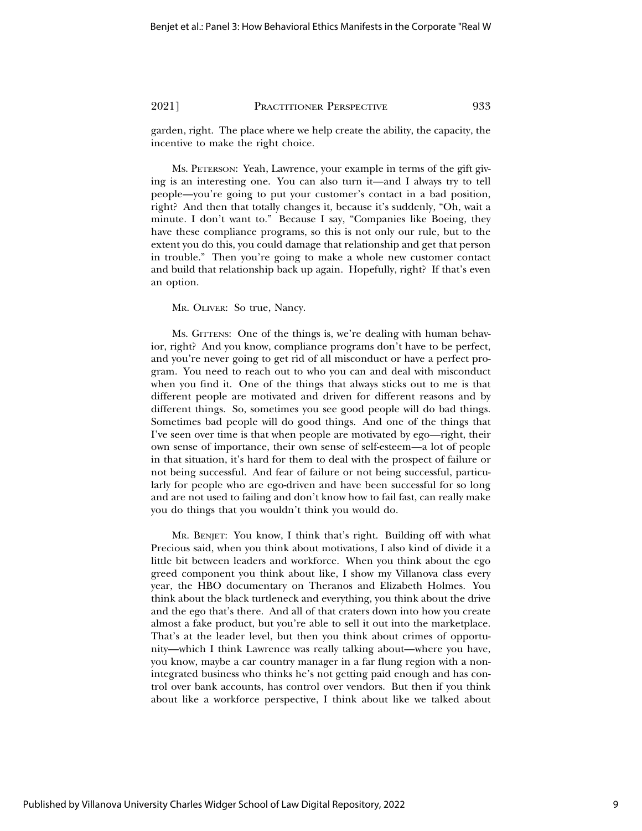garden, right. The place where we help create the ability, the capacity, the incentive to make the right choice.

MS. PETERSON: Yeah, Lawrence, your example in terms of the gift giving is an interesting one. You can also turn it—and I always try to tell people—you're going to put your customer's contact in a bad position, right? And then that totally changes it, because it's suddenly, "Oh, wait a minute. I don't want to." Because I say, "Companies like Boeing, they have these compliance programs, so this is not only our rule, but to the extent you do this, you could damage that relationship and get that person in trouble." Then you're going to make a whole new customer contact and build that relationship back up again. Hopefully, right? If that's even an option.

MR. OLIVER: So true, Nancy.

MS. GITTENS: One of the things is, we're dealing with human behavior, right? And you know, compliance programs don't have to be perfect, and you're never going to get rid of all misconduct or have a perfect program. You need to reach out to who you can and deal with misconduct when you find it. One of the things that always sticks out to me is that different people are motivated and driven for different reasons and by different things. So, sometimes you see good people will do bad things. Sometimes bad people will do good things. And one of the things that I've seen over time is that when people are motivated by ego—right, their own sense of importance, their own sense of self-esteem—a lot of people in that situation, it's hard for them to deal with the prospect of failure or not being successful. And fear of failure or not being successful, particularly for people who are ego-driven and have been successful for so long and are not used to failing and don't know how to fail fast, can really make you do things that you wouldn't think you would do.

MR. BENJET: You know, I think that's right. Building off with what Precious said, when you think about motivations, I also kind of divide it a little bit between leaders and workforce. When you think about the ego greed component you think about like, I show my Villanova class every year, the HBO documentary on Theranos and Elizabeth Holmes. You think about the black turtleneck and everything, you think about the drive and the ego that's there. And all of that craters down into how you create almost a fake product, but you're able to sell it out into the marketplace. That's at the leader level, but then you think about crimes of opportunity—which I think Lawrence was really talking about—where you have, you know, maybe a car country manager in a far flung region with a nonintegrated business who thinks he's not getting paid enough and has control over bank accounts, has control over vendors. But then if you think about like a workforce perspective, I think about like we talked about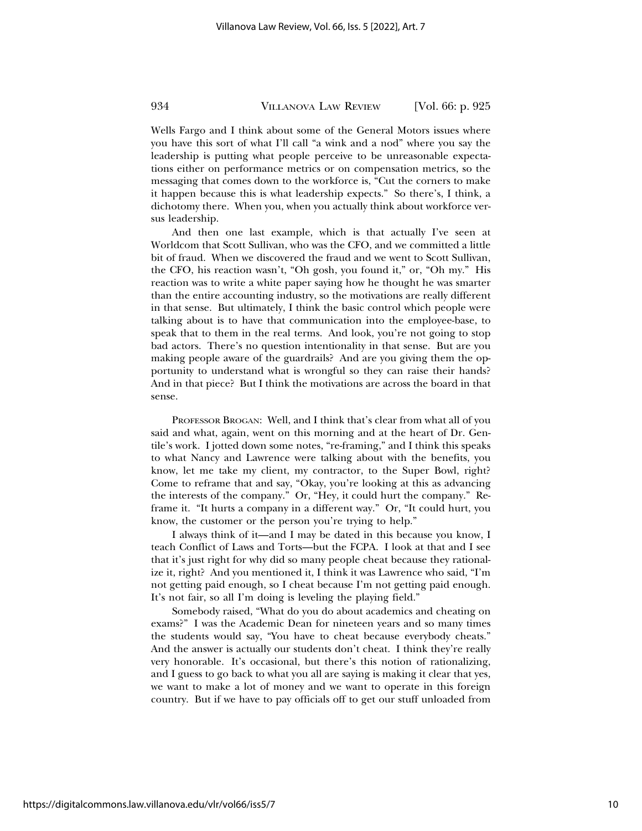Wells Fargo and I think about some of the General Motors issues where you have this sort of what I'll call "a wink and a nod" where you say the leadership is putting what people perceive to be unreasonable expectations either on performance metrics or on compensation metrics, so the messaging that comes down to the workforce is, "Cut the corners to make it happen because this is what leadership expects." So there's, I think, a dichotomy there. When you, when you actually think about workforce versus leadership.

And then one last example, which is that actually I've seen at Worldcom that Scott Sullivan, who was the CFO, and we committed a little bit of fraud. When we discovered the fraud and we went to Scott Sullivan, the CFO, his reaction wasn't, "Oh gosh, you found it," or, "Oh my." His reaction was to write a white paper saying how he thought he was smarter than the entire accounting industry, so the motivations are really different in that sense. But ultimately, I think the basic control which people were talking about is to have that communication into the employee-base, to speak that to them in the real terms. And look, you're not going to stop bad actors. There's no question intentionality in that sense. But are you making people aware of the guardrails? And are you giving them the opportunity to understand what is wrongful so they can raise their hands? And in that piece? But I think the motivations are across the board in that sense.

PROFESSOR BROGAN: Well, and I think that's clear from what all of you said and what, again, went on this morning and at the heart of Dr. Gentile's work. I jotted down some notes, "re-framing," and I think this speaks to what Nancy and Lawrence were talking about with the benefits, you know, let me take my client, my contractor, to the Super Bowl, right? Come to reframe that and say, "Okay, you're looking at this as advancing the interests of the company." Or, "Hey, it could hurt the company." Reframe it. "It hurts a company in a different way." Or, "It could hurt, you know, the customer or the person you're trying to help."

I always think of it—and I may be dated in this because you know, I teach Conflict of Laws and Torts—but the FCPA. I look at that and I see that it's just right for why did so many people cheat because they rationalize it, right? And you mentioned it, I think it was Lawrence who said, "I'm not getting paid enough, so I cheat because I'm not getting paid enough. It's not fair, so all I'm doing is leveling the playing field."

Somebody raised, "What do you do about academics and cheating on exams?" I was the Academic Dean for nineteen years and so many times the students would say, "You have to cheat because everybody cheats." And the answer is actually our students don't cheat. I think they're really very honorable. It's occasional, but there's this notion of rationalizing, and I guess to go back to what you all are saying is making it clear that yes, we want to make a lot of money and we want to operate in this foreign country. But if we have to pay officials off to get our stuff unloaded from

https://digitalcommons.law.villanova.edu/vlr/vol66/iss5/7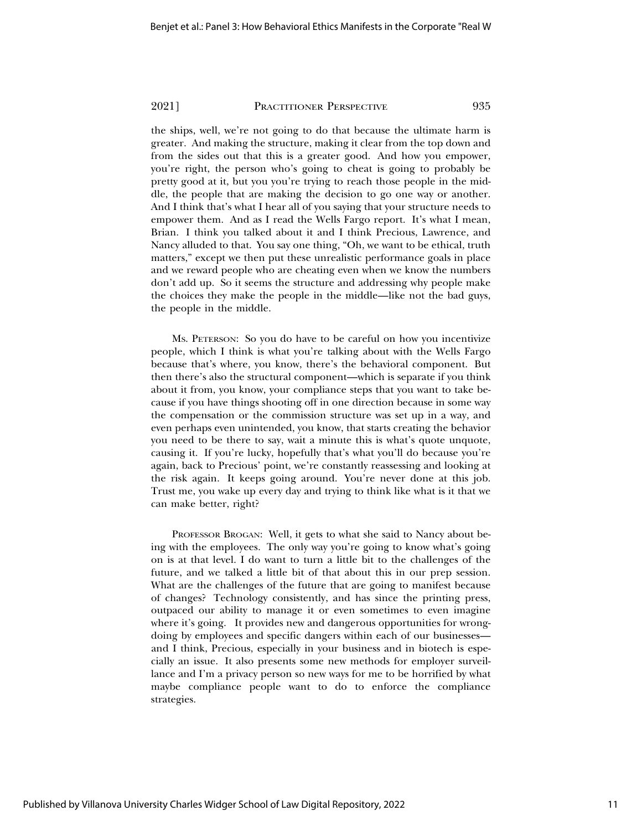the ships, well, we're not going to do that because the ultimate harm is greater. And making the structure, making it clear from the top down and from the sides out that this is a greater good. And how you empower, you're right, the person who's going to cheat is going to probably be pretty good at it, but you you're trying to reach those people in the middle, the people that are making the decision to go one way or another. And I think that's what I hear all of you saying that your structure needs to empower them. And as I read the Wells Fargo report. It's what I mean, Brian. I think you talked about it and I think Precious, Lawrence, and Nancy alluded to that. You say one thing, "Oh, we want to be ethical, truth matters," except we then put these unrealistic performance goals in place and we reward people who are cheating even when we know the numbers don't add up. So it seems the structure and addressing why people make the choices they make the people in the middle—like not the bad guys, the people in the middle.

MS. PETERSON: So you do have to be careful on how you incentivize people, which I think is what you're talking about with the Wells Fargo because that's where, you know, there's the behavioral component. But then there's also the structural component—which is separate if you think about it from, you know, your compliance steps that you want to take because if you have things shooting off in one direction because in some way the compensation or the commission structure was set up in a way, and even perhaps even unintended, you know, that starts creating the behavior you need to be there to say, wait a minute this is what's quote unquote, causing it. If you're lucky, hopefully that's what you'll do because you're again, back to Precious' point, we're constantly reassessing and looking at the risk again. It keeps going around. You're never done at this job. Trust me, you wake up every day and trying to think like what is it that we can make better, right?

PROFESSOR BROGAN: Well, it gets to what she said to Nancy about being with the employees. The only way you're going to know what's going on is at that level. I do want to turn a little bit to the challenges of the future, and we talked a little bit of that about this in our prep session. What are the challenges of the future that are going to manifest because of changes? Technology consistently, and has since the printing press, outpaced our ability to manage it or even sometimes to even imagine where it's going. It provides new and dangerous opportunities for wrongdoing by employees and specific dangers within each of our businesses and I think, Precious, especially in your business and in biotech is especially an issue. It also presents some new methods for employer surveillance and I'm a privacy person so new ways for me to be horrified by what maybe compliance people want to do to enforce the compliance strategies.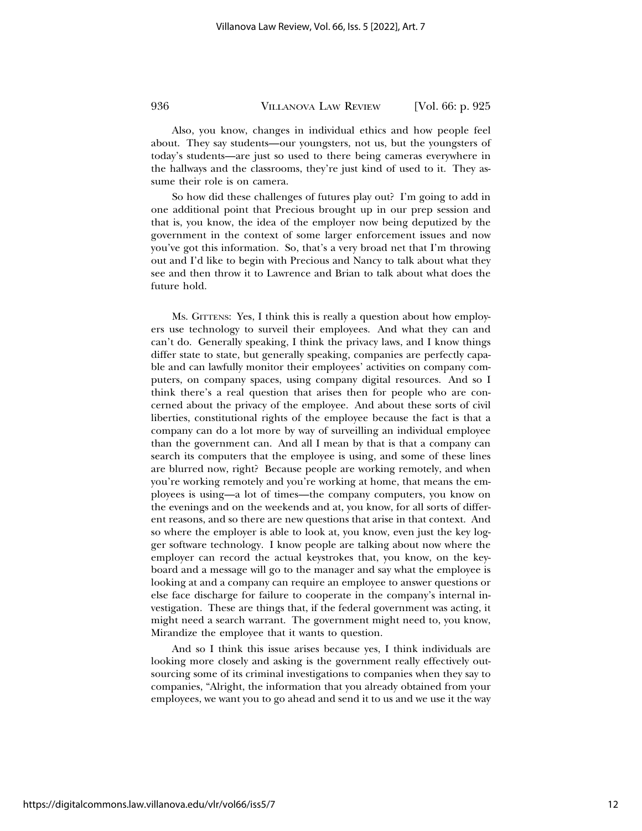Also, you know, changes in individual ethics and how people feel about. They say students—our youngsters, not us, but the youngsters of today's students—are just so used to there being cameras everywhere in the hallways and the classrooms, they're just kind of used to it. They assume their role is on camera.

So how did these challenges of futures play out? I'm going to add in one additional point that Precious brought up in our prep session and that is, you know, the idea of the employer now being deputized by the government in the context of some larger enforcement issues and now you've got this information. So, that's a very broad net that I'm throwing out and I'd like to begin with Precious and Nancy to talk about what they see and then throw it to Lawrence and Brian to talk about what does the future hold.

MS. GITTENS: Yes, I think this is really a question about how employers use technology to surveil their employees. And what they can and can't do. Generally speaking, I think the privacy laws, and I know things differ state to state, but generally speaking, companies are perfectly capable and can lawfully monitor their employees' activities on company computers, on company spaces, using company digital resources. And so I think there's a real question that arises then for people who are concerned about the privacy of the employee. And about these sorts of civil liberties, constitutional rights of the employee because the fact is that a company can do a lot more by way of surveilling an individual employee than the government can. And all I mean by that is that a company can search its computers that the employee is using, and some of these lines are blurred now, right? Because people are working remotely, and when you're working remotely and you're working at home, that means the employees is using—a lot of times—the company computers, you know on the evenings and on the weekends and at, you know, for all sorts of different reasons, and so there are new questions that arise in that context. And so where the employer is able to look at, you know, even just the key logger software technology. I know people are talking about now where the employer can record the actual keystrokes that, you know, on the keyboard and a message will go to the manager and say what the employee is looking at and a company can require an employee to answer questions or else face discharge for failure to cooperate in the company's internal investigation. These are things that, if the federal government was acting, it might need a search warrant. The government might need to, you know, Mirandize the employee that it wants to question.

And so I think this issue arises because yes, I think individuals are looking more closely and asking is the government really effectively outsourcing some of its criminal investigations to companies when they say to companies, "Alright, the information that you already obtained from your employees, we want you to go ahead and send it to us and we use it the way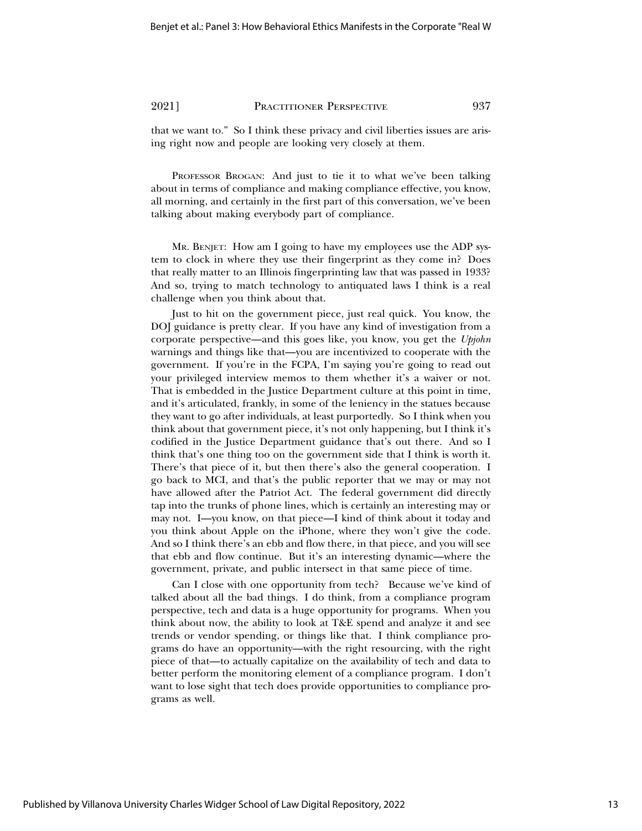that we want to." So I think these privacy and civil liberties issues are arising right now and people are looking very closely at them.

PROFESSOR BROGAN: And just to tie it to what we've been talking about in terms of compliance and making compliance effective, you know, all morning, and certainly in the first part of this conversation, we've been talking about making everybody part of compliance.

MR. BENJET: How am I going to have my employees use the ADP system to clock in where they use their fingerprint as they come in? Does that really matter to an Illinois fingerprinting law that was passed in 1933? And so, trying to match technology to antiquated laws I think is a real challenge when you think about that.

Just to hit on the government piece, just real quick. You know, the DOJ guidance is pretty clear. If you have any kind of investigation from a corporate perspective—and this goes like, you know, you get the *Upjohn* warnings and things like that—you are incentivized to cooperate with the government. If you're in the FCPA, I'm saying you're going to read out your privileged interview memos to them whether it's a waiver or not. That is embedded in the Justice Department culture at this point in time, and it's articulated, frankly, in some of the leniency in the statues because they want to go after individuals, at least purportedly. So I think when you think about that government piece, it's not only happening, but I think it's codified in the Justice Department guidance that's out there. And so I think that's one thing too on the government side that I think is worth it. There's that piece of it, but then there's also the general cooperation. I go back to MCI, and that's the public reporter that we may or may not have allowed after the Patriot Act. The federal government did directly tap into the trunks of phone lines, which is certainly an interesting may or may not. I—you know, on that piece—I kind of think about it today and you think about Apple on the iPhone, where they won't give the code. And so I think there's an ebb and flow there, in that piece, and you will see that ebb and flow continue. But it's an interesting dynamic—where the government, private, and public intersect in that same piece of time.

Can I close with one opportunity from tech? Because we've kind of talked about all the bad things. I do think, from a compliance program perspective, tech and data is a huge opportunity for programs. When you think about now, the ability to look at T&E spend and analyze it and see trends or vendor spending, or things like that. I think compliance programs do have an opportunity—with the right resourcing, with the right piece of that—to actually capitalize on the availability of tech and data to better perform the monitoring element of a compliance program. I don't want to lose sight that tech does provide opportunities to compliance programs as well.